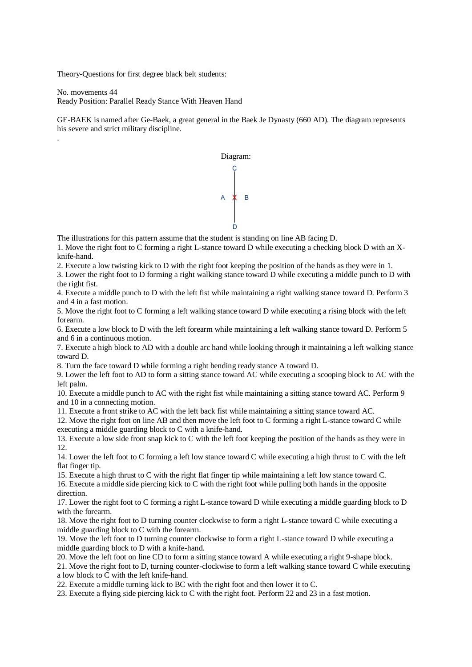Theory-Questions for first degree black belt students:

.

No. movements 44 Ready Position: Parallel Ready Stance With Heaven Hand

GE-BAEK is named after Ge-Baek, a great general in the Baek Je Dynasty (660 AD). The diagram represents his severe and strict military discipline.



The illustrations for this pattern assume that the student is standing on line AB facing D.

1. Move the right foot to C forming a right L-stance toward D while executing a checking block D with an Xknife-hand.

2. Execute a low twisting kick to D with the right foot keeping the position of the hands as they were in 1.

3. Lower the right foot to D forming a right walking stance toward D while executing a middle punch to D with the right fist.

4. Execute a middle punch to D with the left fist while maintaining a right walking stance toward D. Perform 3 and 4 in a fast motion.

5. Move the right foot to C forming a left walking stance toward D while executing a rising block with the left forearm.

6. Execute a low block to D with the left forearm while maintaining a left walking stance toward D. Perform 5 and 6 in a continuous motion.

7. Execute a high block to AD with a double arc hand while looking through it maintaining a left walking stance toward D.

8. Turn the face toward D while forming a right bending ready stance A toward D.

9. Lower the left foot to AD to form a sitting stance toward AC while executing a scooping block to AC with the left palm.

10. Execute a middle punch to AC with the right fist while maintaining a sitting stance toward AC. Perform 9 and 10 in a connecting motion.

11. Execute a front strike to AC with the left back fist while maintaining a sitting stance toward AC.

12. Move the right foot on line AB and then move the left foot to C forming a right L-stance toward C while executing a middle guarding block to C with a knife-hand.

13. Execute a low side front snap kick to C with the left foot keeping the position of the hands as they were in 12.

14. Lower the left foot to C forming a left low stance toward C while executing a high thrust to C with the left flat finger tip.

15. Execute a high thrust to C with the right flat finger tip while maintaining a left low stance toward C.

16. Execute a middle side piercing kick to C with the right foot while pulling both hands in the opposite direction.

17. Lower the right foot to C forming a right L-stance toward D while executing a middle guarding block to D with the forearm.

18. Move the right foot to D turning counter clockwise to form a right L-stance toward C while executing a middle guarding block to C with the forearm.

19. Move the left foot to D turning counter clockwise to form a right L-stance toward D while executing a middle guarding block to D with a knife-hand.

20. Move the left foot on line CD to form a sitting stance toward A while executing a right 9-shape block.

21. Move the right foot to D, turning counter-clockwise to form a left walking stance toward C while executing a low block to C with the left knife-hand.

22. Execute a middle turning kick to BC with the right foot and then lower it to C.

23. Execute a flying side piercing kick to C with the right foot. Perform 22 and 23 in a fast motion.